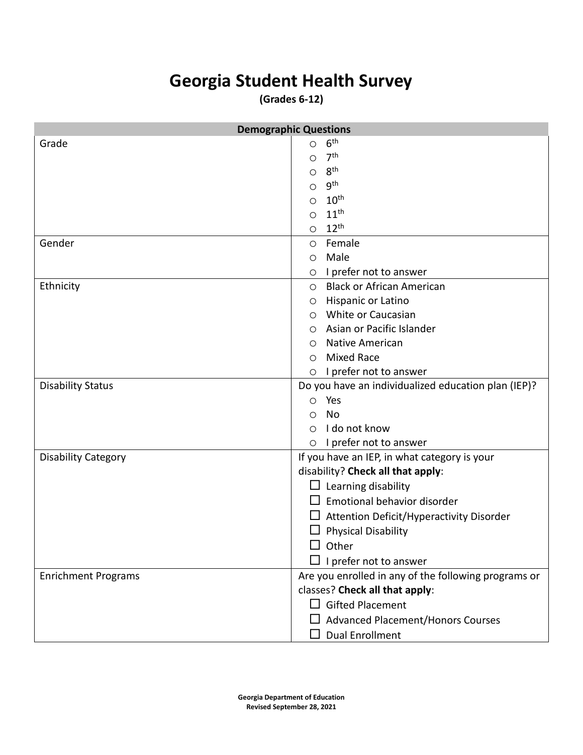## **Georgia Student Health Survey**

**(Grades 6-12)**

|                            | <b>Demographic Questions</b>                         |  |  |  |
|----------------------------|------------------------------------------------------|--|--|--|
| Grade                      | 6 <sup>th</sup><br>O                                 |  |  |  |
|                            | 7 <sup>th</sup><br>Ο                                 |  |  |  |
|                            | 8 <sup>th</sup><br>О                                 |  |  |  |
|                            | <b>gth</b><br>О                                      |  |  |  |
|                            | 10 <sup>th</sup><br>O                                |  |  |  |
|                            | 11 <sup>th</sup><br>O                                |  |  |  |
|                            | $12^{th}$<br>$\circ$                                 |  |  |  |
| Gender                     | Female<br>$\circ$                                    |  |  |  |
|                            | Male<br>$\circ$                                      |  |  |  |
|                            | I prefer not to answer<br>$\circ$                    |  |  |  |
| Ethnicity                  | O Black or African American                          |  |  |  |
|                            | Hispanic or Latino<br>O                              |  |  |  |
|                            | White or Caucasian<br>$\circ$                        |  |  |  |
|                            | Asian or Pacific Islander<br>$\circ$                 |  |  |  |
|                            | <b>Native American</b><br>O                          |  |  |  |
|                            | <b>Mixed Race</b><br>◯                               |  |  |  |
|                            | I prefer not to answer<br>$\bigcirc$                 |  |  |  |
| <b>Disability Status</b>   | Do you have an individualized education plan (IEP)?  |  |  |  |
|                            | Yes<br>$\circ$                                       |  |  |  |
|                            | No<br>O                                              |  |  |  |
|                            | I do not know<br>$\bigcirc$                          |  |  |  |
|                            | I prefer not to answer<br>$\circ$                    |  |  |  |
| <b>Disability Category</b> | If you have an IEP, in what category is your         |  |  |  |
|                            | disability? Check all that apply:                    |  |  |  |
|                            | $\Box$ Learning disability                           |  |  |  |
|                            | $\Box$ Emotional behavior disorder                   |  |  |  |
|                            | $\Box$ Attention Deficit/Hyperactivity Disorder      |  |  |  |
|                            | <b>Physical Disability</b>                           |  |  |  |
|                            | Other                                                |  |  |  |
|                            | $\Box$ I prefer not to answer                        |  |  |  |
| <b>Enrichment Programs</b> | Are you enrolled in any of the following programs or |  |  |  |
|                            | classes? Check all that apply:                       |  |  |  |
|                            | $\Box$ Gifted Placement                              |  |  |  |
|                            | $\Box$ Advanced Placement/Honors Courses             |  |  |  |
|                            | <b>Dual Enrollment</b>                               |  |  |  |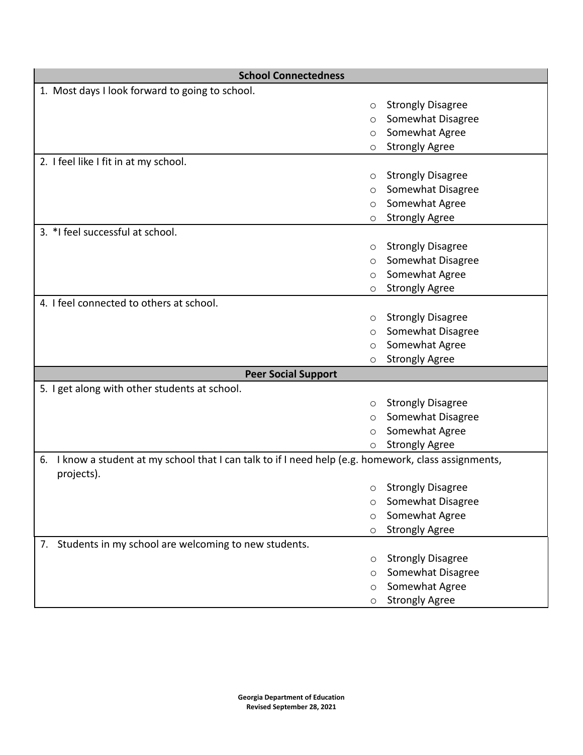| <b>School Connectedness</b>                                                                                            |                          |
|------------------------------------------------------------------------------------------------------------------------|--------------------------|
| 1. Most days I look forward to going to school.                                                                        |                          |
| $\circ$                                                                                                                | <b>Strongly Disagree</b> |
| ◯                                                                                                                      | Somewhat Disagree        |
| $\circ$                                                                                                                | Somewhat Agree           |
| $\circ$                                                                                                                | <b>Strongly Agree</b>    |
| 2. I feel like I fit in at my school.                                                                                  |                          |
| $\circ$                                                                                                                | <b>Strongly Disagree</b> |
| $\circ$                                                                                                                | Somewhat Disagree        |
| $\circ$                                                                                                                | Somewhat Agree           |
| O                                                                                                                      | <b>Strongly Agree</b>    |
| 3. *I feel successful at school.                                                                                       |                          |
| $\circ$                                                                                                                | <b>Strongly Disagree</b> |
| $\circ$                                                                                                                | Somewhat Disagree        |
| $\circ$                                                                                                                | Somewhat Agree           |
| $\circ$                                                                                                                | <b>Strongly Agree</b>    |
| 4. I feel connected to others at school.                                                                               |                          |
| $\circ$                                                                                                                | <b>Strongly Disagree</b> |
| O                                                                                                                      | Somewhat Disagree        |
| $\circ$                                                                                                                | Somewhat Agree           |
| $\circ$                                                                                                                | <b>Strongly Agree</b>    |
| <b>Peer Social Support</b>                                                                                             |                          |
| 5. I get along with other students at school.                                                                          |                          |
| $\circ$                                                                                                                | <b>Strongly Disagree</b> |
| O                                                                                                                      | Somewhat Disagree        |
| $\circ$                                                                                                                | Somewhat Agree           |
| O                                                                                                                      | <b>Strongly Agree</b>    |
| I know a student at my school that I can talk to if I need help (e.g. homework, class assignments,<br>6.<br>projects). |                          |
| $\circ$                                                                                                                | <b>Strongly Disagree</b> |
| O                                                                                                                      | Somewhat Disagree        |
| $\circ$                                                                                                                | Somewhat Agree           |
| $\circ$                                                                                                                | <b>Strongly Agree</b>    |
| Students in my school are welcoming to new students.<br>7.                                                             |                          |
| $\circ$                                                                                                                | <b>Strongly Disagree</b> |
| O                                                                                                                      | Somewhat Disagree        |
| $\circ$                                                                                                                | Somewhat Agree           |
| O                                                                                                                      | <b>Strongly Agree</b>    |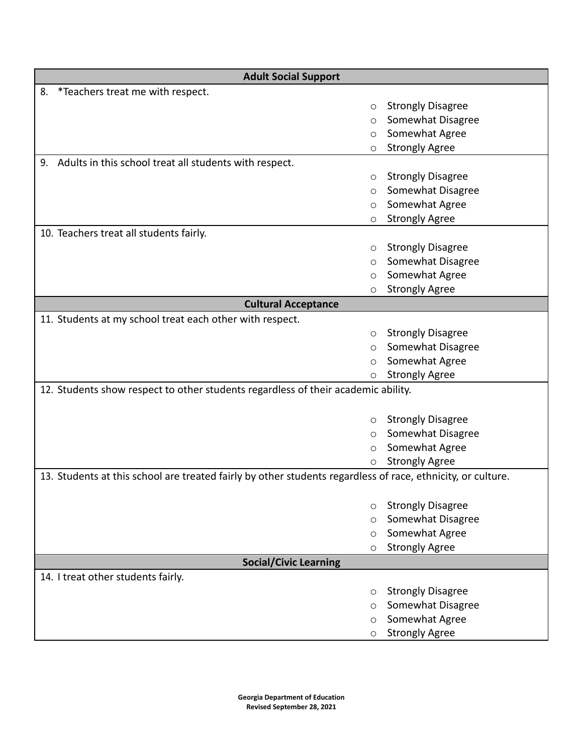| <b>Adult Social Support</b>                                                                                 |                                               |  |  |
|-------------------------------------------------------------------------------------------------------------|-----------------------------------------------|--|--|
| *Teachers treat me with respect.<br>8.                                                                      |                                               |  |  |
| $\circ$                                                                                                     | <b>Strongly Disagree</b>                      |  |  |
| O                                                                                                           | Somewhat Disagree                             |  |  |
| $\circ$                                                                                                     | Somewhat Agree                                |  |  |
| $\circ$                                                                                                     | <b>Strongly Agree</b>                         |  |  |
| 9. Adults in this school treat all students with respect.                                                   |                                               |  |  |
| $\circ$                                                                                                     | <b>Strongly Disagree</b>                      |  |  |
| $\circ$                                                                                                     | Somewhat Disagree                             |  |  |
| $\circ$                                                                                                     | Somewhat Agree                                |  |  |
| $\circ$                                                                                                     | <b>Strongly Agree</b>                         |  |  |
| 10. Teachers treat all students fairly.                                                                     |                                               |  |  |
| $\circ$                                                                                                     | <b>Strongly Disagree</b>                      |  |  |
| $\circ$                                                                                                     | Somewhat Disagree                             |  |  |
| $\circ$                                                                                                     | Somewhat Agree                                |  |  |
| $\circ$                                                                                                     | <b>Strongly Agree</b>                         |  |  |
| <b>Cultural Acceptance</b>                                                                                  |                                               |  |  |
| 11. Students at my school treat each other with respect.                                                    |                                               |  |  |
| $\circ$                                                                                                     | <b>Strongly Disagree</b>                      |  |  |
| $\circ$                                                                                                     | Somewhat Disagree                             |  |  |
| $\circ$                                                                                                     | Somewhat Agree                                |  |  |
| O                                                                                                           | <b>Strongly Agree</b>                         |  |  |
| 12. Students show respect to other students regardless of their academic ability.                           |                                               |  |  |
| $\circ$                                                                                                     | <b>Strongly Disagree</b>                      |  |  |
| $\circ$                                                                                                     | Somewhat Disagree                             |  |  |
| $\circ$                                                                                                     | Somewhat Agree                                |  |  |
| O                                                                                                           | <b>Strongly Agree</b>                         |  |  |
| 13. Students at this school are treated fairly by other students regardless of race, ethnicity, or culture. |                                               |  |  |
| $\circ$                                                                                                     | <b>Strongly Disagree</b>                      |  |  |
| $\circ$                                                                                                     | Somewhat Disagree                             |  |  |
| $\circ$                                                                                                     | Somewhat Agree                                |  |  |
| $\circ$                                                                                                     | <b>Strongly Agree</b>                         |  |  |
|                                                                                                             |                                               |  |  |
| <b>Social/Civic Learning</b>                                                                                |                                               |  |  |
| 14. I treat other students fairly.                                                                          |                                               |  |  |
| $\circ$                                                                                                     | <b>Strongly Disagree</b><br>Somewhat Disagree |  |  |
| $\circ$                                                                                                     | Somewhat Agree                                |  |  |
| $\circ$                                                                                                     |                                               |  |  |
| O                                                                                                           | <b>Strongly Agree</b>                         |  |  |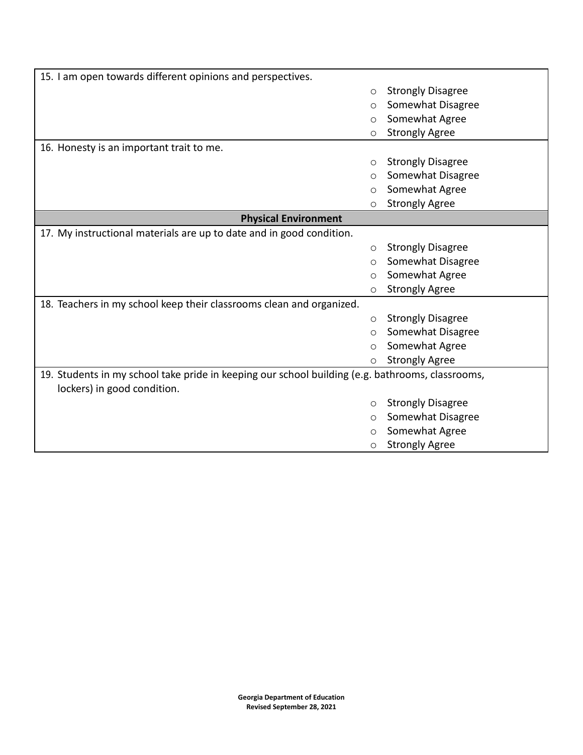| 15. I am open towards different opinions and perspectives.                                                                      |         |                          |
|---------------------------------------------------------------------------------------------------------------------------------|---------|--------------------------|
|                                                                                                                                 | O       | <b>Strongly Disagree</b> |
|                                                                                                                                 | O       | Somewhat Disagree        |
|                                                                                                                                 | O       | Somewhat Agree           |
|                                                                                                                                 | O       | <b>Strongly Agree</b>    |
| 16. Honesty is an important trait to me.                                                                                        |         |                          |
|                                                                                                                                 | O       | <b>Strongly Disagree</b> |
|                                                                                                                                 | O       | Somewhat Disagree        |
|                                                                                                                                 | O       | Somewhat Agree           |
|                                                                                                                                 | O       | <b>Strongly Agree</b>    |
| <b>Physical Environment</b>                                                                                                     |         |                          |
| 17. My instructional materials are up to date and in good condition.                                                            |         |                          |
|                                                                                                                                 | O       | <b>Strongly Disagree</b> |
|                                                                                                                                 | O       | Somewhat Disagree        |
|                                                                                                                                 | O       | Somewhat Agree           |
|                                                                                                                                 | O       | <b>Strongly Agree</b>    |
| 18. Teachers in my school keep their classrooms clean and organized.                                                            |         |                          |
|                                                                                                                                 | O       | <b>Strongly Disagree</b> |
|                                                                                                                                 | O       | Somewhat Disagree        |
|                                                                                                                                 | O       | Somewhat Agree           |
|                                                                                                                                 | O       | <b>Strongly Agree</b>    |
| 19. Students in my school take pride in keeping our school building (e.g. bathrooms, classrooms,<br>lockers) in good condition. |         |                          |
|                                                                                                                                 | O       | <b>Strongly Disagree</b> |
|                                                                                                                                 | $\circ$ | Somewhat Disagree        |
|                                                                                                                                 | O       | Somewhat Agree           |
|                                                                                                                                 | $\circ$ | <b>Strongly Agree</b>    |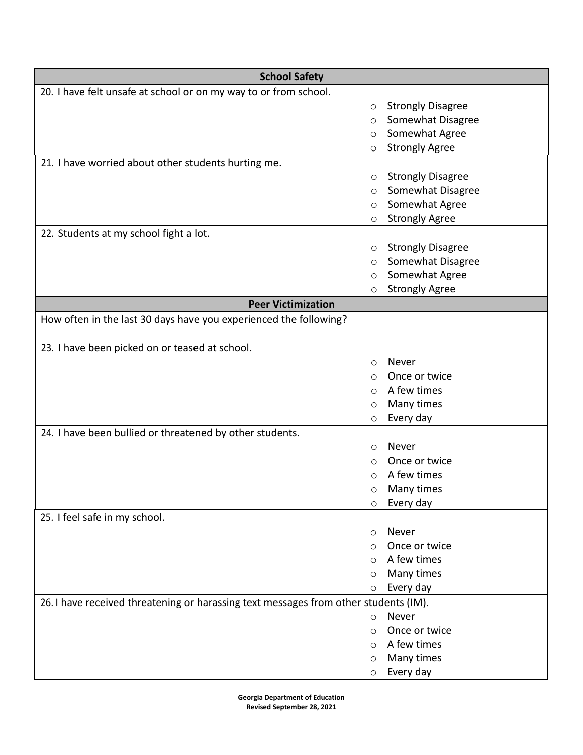| 20. I have felt unsafe at school or on my way to or from school.<br><b>Strongly Disagree</b><br>$\circ$<br>Somewhat Disagree<br>$\circ$<br>Somewhat Agree<br>$\circ$<br><b>Strongly Agree</b><br>$\circ$<br>21. I have worried about other students hurting me.<br><b>Strongly Disagree</b><br>O<br>Somewhat Disagree<br>O<br>Somewhat Agree<br>O<br><b>Strongly Agree</b><br>O<br>22. Students at my school fight a lot.<br><b>Strongly Disagree</b><br>O<br>Somewhat Disagree<br>O<br>Somewhat Agree<br>O<br><b>Strongly Agree</b><br>O<br><b>Peer Victimization</b><br>How often in the last 30 days have you experienced the following?<br>23. I have been picked on or teased at school.<br>Never<br>$\circ$<br>Once or twice<br>$\circ$<br>A few times<br>$\circ$<br>Many times<br>O<br>Every day<br>$\circ$<br>24. I have been bullied or threatened by other students. |
|--------------------------------------------------------------------------------------------------------------------------------------------------------------------------------------------------------------------------------------------------------------------------------------------------------------------------------------------------------------------------------------------------------------------------------------------------------------------------------------------------------------------------------------------------------------------------------------------------------------------------------------------------------------------------------------------------------------------------------------------------------------------------------------------------------------------------------------------------------------------------------|
|                                                                                                                                                                                                                                                                                                                                                                                                                                                                                                                                                                                                                                                                                                                                                                                                                                                                                |
|                                                                                                                                                                                                                                                                                                                                                                                                                                                                                                                                                                                                                                                                                                                                                                                                                                                                                |
|                                                                                                                                                                                                                                                                                                                                                                                                                                                                                                                                                                                                                                                                                                                                                                                                                                                                                |
|                                                                                                                                                                                                                                                                                                                                                                                                                                                                                                                                                                                                                                                                                                                                                                                                                                                                                |
|                                                                                                                                                                                                                                                                                                                                                                                                                                                                                                                                                                                                                                                                                                                                                                                                                                                                                |
|                                                                                                                                                                                                                                                                                                                                                                                                                                                                                                                                                                                                                                                                                                                                                                                                                                                                                |
|                                                                                                                                                                                                                                                                                                                                                                                                                                                                                                                                                                                                                                                                                                                                                                                                                                                                                |
|                                                                                                                                                                                                                                                                                                                                                                                                                                                                                                                                                                                                                                                                                                                                                                                                                                                                                |
|                                                                                                                                                                                                                                                                                                                                                                                                                                                                                                                                                                                                                                                                                                                                                                                                                                                                                |
|                                                                                                                                                                                                                                                                                                                                                                                                                                                                                                                                                                                                                                                                                                                                                                                                                                                                                |
|                                                                                                                                                                                                                                                                                                                                                                                                                                                                                                                                                                                                                                                                                                                                                                                                                                                                                |
|                                                                                                                                                                                                                                                                                                                                                                                                                                                                                                                                                                                                                                                                                                                                                                                                                                                                                |
|                                                                                                                                                                                                                                                                                                                                                                                                                                                                                                                                                                                                                                                                                                                                                                                                                                                                                |
|                                                                                                                                                                                                                                                                                                                                                                                                                                                                                                                                                                                                                                                                                                                                                                                                                                                                                |
|                                                                                                                                                                                                                                                                                                                                                                                                                                                                                                                                                                                                                                                                                                                                                                                                                                                                                |
|                                                                                                                                                                                                                                                                                                                                                                                                                                                                                                                                                                                                                                                                                                                                                                                                                                                                                |
|                                                                                                                                                                                                                                                                                                                                                                                                                                                                                                                                                                                                                                                                                                                                                                                                                                                                                |
|                                                                                                                                                                                                                                                                                                                                                                                                                                                                                                                                                                                                                                                                                                                                                                                                                                                                                |
|                                                                                                                                                                                                                                                                                                                                                                                                                                                                                                                                                                                                                                                                                                                                                                                                                                                                                |
|                                                                                                                                                                                                                                                                                                                                                                                                                                                                                                                                                                                                                                                                                                                                                                                                                                                                                |
|                                                                                                                                                                                                                                                                                                                                                                                                                                                                                                                                                                                                                                                                                                                                                                                                                                                                                |
|                                                                                                                                                                                                                                                                                                                                                                                                                                                                                                                                                                                                                                                                                                                                                                                                                                                                                |
|                                                                                                                                                                                                                                                                                                                                                                                                                                                                                                                                                                                                                                                                                                                                                                                                                                                                                |
|                                                                                                                                                                                                                                                                                                                                                                                                                                                                                                                                                                                                                                                                                                                                                                                                                                                                                |
|                                                                                                                                                                                                                                                                                                                                                                                                                                                                                                                                                                                                                                                                                                                                                                                                                                                                                |
| Never<br>$\circ$                                                                                                                                                                                                                                                                                                                                                                                                                                                                                                                                                                                                                                                                                                                                                                                                                                                               |
| Once or twice<br>∩                                                                                                                                                                                                                                                                                                                                                                                                                                                                                                                                                                                                                                                                                                                                                                                                                                                             |
| A few times<br>O                                                                                                                                                                                                                                                                                                                                                                                                                                                                                                                                                                                                                                                                                                                                                                                                                                                               |
| Many times<br>O                                                                                                                                                                                                                                                                                                                                                                                                                                                                                                                                                                                                                                                                                                                                                                                                                                                                |
| Every day<br>$\circ$                                                                                                                                                                                                                                                                                                                                                                                                                                                                                                                                                                                                                                                                                                                                                                                                                                                           |
| 25. I feel safe in my school.                                                                                                                                                                                                                                                                                                                                                                                                                                                                                                                                                                                                                                                                                                                                                                                                                                                  |
| Never<br>$\circ$<br>Once or twice                                                                                                                                                                                                                                                                                                                                                                                                                                                                                                                                                                                                                                                                                                                                                                                                                                              |
| $\circ$<br>A few times                                                                                                                                                                                                                                                                                                                                                                                                                                                                                                                                                                                                                                                                                                                                                                                                                                                         |
| ◯                                                                                                                                                                                                                                                                                                                                                                                                                                                                                                                                                                                                                                                                                                                                                                                                                                                                              |
| Many times<br>$\circ$                                                                                                                                                                                                                                                                                                                                                                                                                                                                                                                                                                                                                                                                                                                                                                                                                                                          |
| Every day<br>O                                                                                                                                                                                                                                                                                                                                                                                                                                                                                                                                                                                                                                                                                                                                                                                                                                                                 |
| 26. I have received threatening or harassing text messages from other students (IM).                                                                                                                                                                                                                                                                                                                                                                                                                                                                                                                                                                                                                                                                                                                                                                                           |
| Never<br>$\circ$<br>Once or twice                                                                                                                                                                                                                                                                                                                                                                                                                                                                                                                                                                                                                                                                                                                                                                                                                                              |
| $\circ$<br>A few times                                                                                                                                                                                                                                                                                                                                                                                                                                                                                                                                                                                                                                                                                                                                                                                                                                                         |
| $\circ$<br>Many times                                                                                                                                                                                                                                                                                                                                                                                                                                                                                                                                                                                                                                                                                                                                                                                                                                                          |
| $\circ$<br>Every day<br>O                                                                                                                                                                                                                                                                                                                                                                                                                                                                                                                                                                                                                                                                                                                                                                                                                                                      |

**Georgia Department of Education Revised September 28, 2021**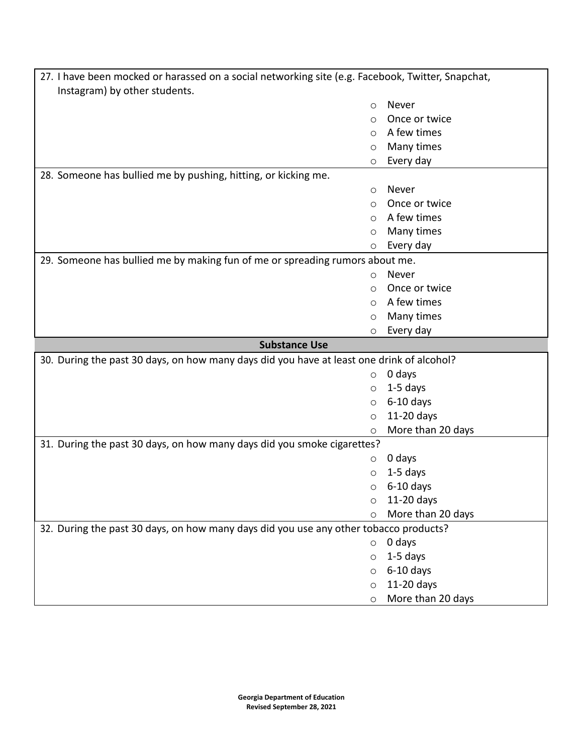| 27. I have been mocked or harassed on a social networking site (e.g. Facebook, Twitter, Snapchat, |         |                                 |
|---------------------------------------------------------------------------------------------------|---------|---------------------------------|
| Instagram) by other students.                                                                     |         |                                 |
|                                                                                                   | $\circ$ | Never                           |
|                                                                                                   | $\circ$ | Once or twice                   |
|                                                                                                   | $\circ$ | A few times                     |
|                                                                                                   | O       | Many times                      |
|                                                                                                   | O       | Every day                       |
| 28. Someone has bullied me by pushing, hitting, or kicking me.                                    |         |                                 |
|                                                                                                   | $\circ$ | Never                           |
|                                                                                                   | $\circ$ | Once or twice                   |
|                                                                                                   | $\circ$ | A few times                     |
|                                                                                                   | O       | Many times                      |
|                                                                                                   | O       | Every day                       |
| 29. Someone has bullied me by making fun of me or spreading rumors about me.                      |         |                                 |
|                                                                                                   | $\circ$ | Never                           |
|                                                                                                   | $\circ$ | Once or twice                   |
|                                                                                                   | $\circ$ | A few times                     |
|                                                                                                   | O       | Many times                      |
|                                                                                                   | O       | Every day                       |
|                                                                                                   |         |                                 |
| <b>Substance Use</b>                                                                              |         |                                 |
| 30. During the past 30 days, on how many days did you have at least one drink of alcohol?         |         |                                 |
|                                                                                                   | $\circ$ | 0 days                          |
|                                                                                                   | O       | $1-5$ days                      |
|                                                                                                   | O       | $6-10$ days                     |
|                                                                                                   | $\circ$ | 11-20 days                      |
|                                                                                                   | $\circ$ | More than 20 days               |
| 31. During the past 30 days, on how many days did you smoke cigarettes?                           |         |                                 |
|                                                                                                   | O       | 0 days                          |
|                                                                                                   | O       | $1-5$ days                      |
|                                                                                                   | O       | $6-10$ days                     |
|                                                                                                   | O       | $11-20$ days                    |
|                                                                                                   | $\circ$ | More than 20 days               |
| 32. During the past 30 days, on how many days did you use any other tobacco products?             |         |                                 |
|                                                                                                   | $\circ$ | 0 days                          |
|                                                                                                   | O       | 1-5 days                        |
|                                                                                                   | $\circ$ | $6-10$ days                     |
|                                                                                                   | $\circ$ | 11-20 days<br>More than 20 days |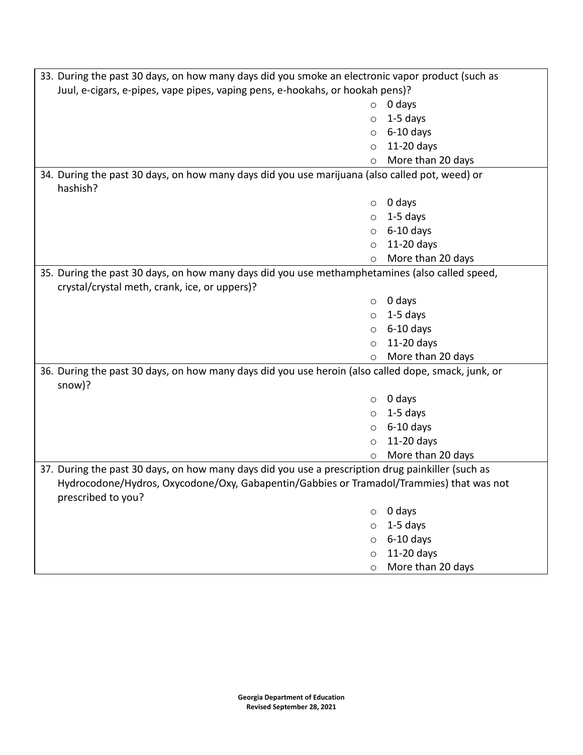| 33. During the past 30 days, on how many days did you smoke an electronic vapor product (such as    |                   |  |  |
|-----------------------------------------------------------------------------------------------------|-------------------|--|--|
| Juul, e-cigars, e-pipes, vape pipes, vaping pens, e-hookahs, or hookah pens)?                       |                   |  |  |
| $\circ$                                                                                             | 0 days            |  |  |
| $\circ$                                                                                             | $1-5$ days        |  |  |
| $\circ$                                                                                             | $6-10$ days       |  |  |
| $\circ$                                                                                             | 11-20 days        |  |  |
| $\circ$                                                                                             | More than 20 days |  |  |
| 34. During the past 30 days, on how many days did you use marijuana (also called pot, weed) or      |                   |  |  |
| hashish?                                                                                            |                   |  |  |
| $\circ$                                                                                             | 0 days            |  |  |
| $\circ$                                                                                             | $1-5$ days        |  |  |
| $\circ$                                                                                             | $6-10$ days       |  |  |
| $\circ$                                                                                             | 11-20 days        |  |  |
| $\circ$                                                                                             | More than 20 days |  |  |
| 35. During the past 30 days, on how many days did you use methamphetamines (also called speed,      |                   |  |  |
| crystal/crystal meth, crank, ice, or uppers)?                                                       |                   |  |  |
| $\circ$                                                                                             | 0 days            |  |  |
| $\circ$                                                                                             | $1-5$ days        |  |  |
| $\circ$                                                                                             | $6-10$ days       |  |  |
| $\circ$                                                                                             | 11-20 days        |  |  |
| O                                                                                                   | More than 20 days |  |  |
| 36. During the past 30 days, on how many days did you use heroin (also called dope, smack, junk, or |                   |  |  |
| snow)?                                                                                              |                   |  |  |
| $\circ$                                                                                             | 0 days            |  |  |
| $\circ$                                                                                             | $1-5$ days        |  |  |
| $\circ$                                                                                             | $6-10$ days       |  |  |
| $\circ$                                                                                             | 11-20 days        |  |  |
| $\circ$                                                                                             | More than 20 days |  |  |
| 37. During the past 30 days, on how many days did you use a prescription drug painkiller (such as   |                   |  |  |
| Hydrocodone/Hydros, Oxycodone/Oxy, Gabapentin/Gabbies or Tramadol/Trammies) that was not            |                   |  |  |
| prescribed to you?                                                                                  |                   |  |  |
| $\circ$                                                                                             | 0 days            |  |  |
| $\circ$                                                                                             | 1-5 days          |  |  |
| $\circ$                                                                                             | $6-10$ days       |  |  |
| $\circ$                                                                                             | 11-20 days        |  |  |
| $\circ$                                                                                             | More than 20 days |  |  |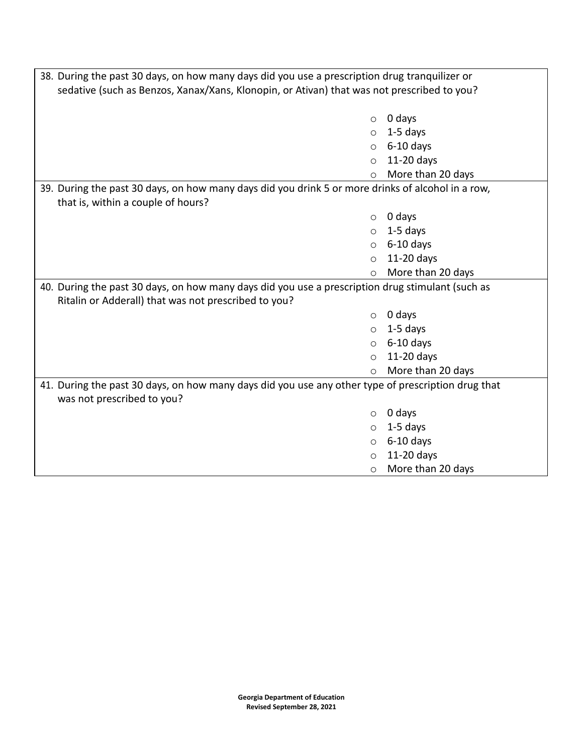| 38. During the past 30 days, on how many days did you use a prescription drug tranquilizer or<br>sedative (such as Benzos, Xanax/Xans, Klonopin, or Ativan) that was not prescribed to you? |                   |  |  |
|---------------------------------------------------------------------------------------------------------------------------------------------------------------------------------------------|-------------------|--|--|
| $\circ$                                                                                                                                                                                     | 0 days            |  |  |
| $\circ$                                                                                                                                                                                     | $1-5$ days        |  |  |
| $\circ$                                                                                                                                                                                     | $6-10$ days       |  |  |
| $\circ$                                                                                                                                                                                     | 11-20 days        |  |  |
| $\circ$                                                                                                                                                                                     | More than 20 days |  |  |
| 39. During the past 30 days, on how many days did you drink 5 or more drinks of alcohol in a row,                                                                                           |                   |  |  |
| that is, within a couple of hours?                                                                                                                                                          |                   |  |  |
| $\circ$                                                                                                                                                                                     | 0 days            |  |  |
| $\circ$                                                                                                                                                                                     | $1-5$ days        |  |  |
| $\circ$                                                                                                                                                                                     | $6-10$ days       |  |  |
| $\circ$                                                                                                                                                                                     | 11-20 days        |  |  |
| O                                                                                                                                                                                           | More than 20 days |  |  |
| 40. During the past 30 days, on how many days did you use a prescription drug stimulant (such as                                                                                            |                   |  |  |
| Ritalin or Adderall) that was not prescribed to you?                                                                                                                                        |                   |  |  |
| $\circ$                                                                                                                                                                                     | 0 days            |  |  |
| $\circ$                                                                                                                                                                                     | $1-5$ days        |  |  |
| $\circ$                                                                                                                                                                                     | $6-10$ days       |  |  |
| $\circ$                                                                                                                                                                                     | 11-20 days        |  |  |
| $\circ$                                                                                                                                                                                     | More than 20 days |  |  |
| 41. During the past 30 days, on how many days did you use any other type of prescription drug that                                                                                          |                   |  |  |
| was not prescribed to you?                                                                                                                                                                  |                   |  |  |
| $\circ$                                                                                                                                                                                     | 0 days            |  |  |
| $\circ$                                                                                                                                                                                     | $1-5$ days        |  |  |
| $\circ$                                                                                                                                                                                     | $6-10$ days       |  |  |
| $\circ$                                                                                                                                                                                     | 11-20 days        |  |  |
| O                                                                                                                                                                                           | More than 20 days |  |  |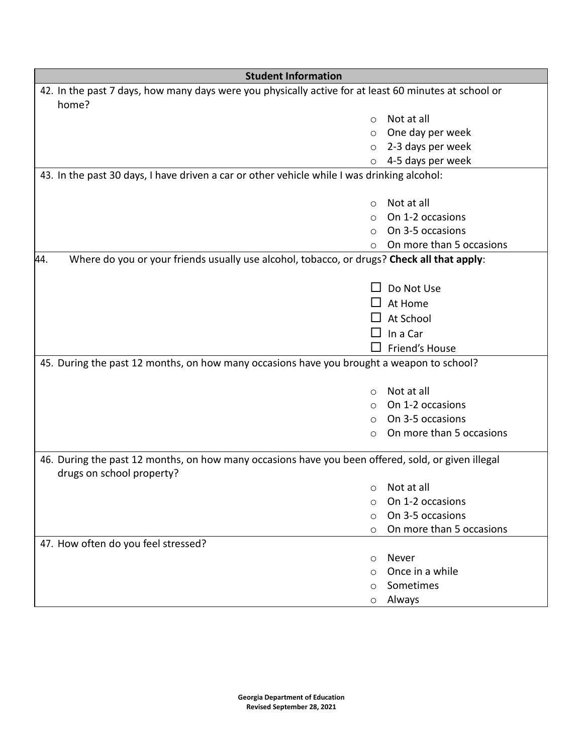| <b>Student Information</b>                                                                            |                          |  |
|-------------------------------------------------------------------------------------------------------|--------------------------|--|
| 42. In the past 7 days, how many days were you physically active for at least 60 minutes at school or |                          |  |
| home?                                                                                                 |                          |  |
| $\circ$                                                                                               | Not at all               |  |
| $\circ$                                                                                               | One day per week         |  |
| $\circ$                                                                                               | 2-3 days per week        |  |
| $\circ$                                                                                               | 4-5 days per week        |  |
| 43. In the past 30 days, I have driven a car or other vehicle while I was drinking alcohol:           |                          |  |
|                                                                                                       |                          |  |
| $\circ$                                                                                               | Not at all               |  |
| O                                                                                                     | On 1-2 occasions         |  |
| $\circ$                                                                                               | On 3-5 occasions         |  |
| $\circ$                                                                                               | On more than 5 occasions |  |
| 44.<br>Where do you or your friends usually use alcohol, tobacco, or drugs? Check all that apply:     |                          |  |
|                                                                                                       |                          |  |
|                                                                                                       | Do Not Use               |  |
|                                                                                                       | At Home                  |  |
|                                                                                                       | At School                |  |
|                                                                                                       | In a Car                 |  |
|                                                                                                       | Friend's House           |  |
| 45. During the past 12 months, on how many occasions have you brought a weapon to school?             |                          |  |
|                                                                                                       |                          |  |
| $\circ$                                                                                               | Not at all               |  |
| $\circ$                                                                                               | On 1-2 occasions         |  |
| $\circ$                                                                                               | On 3-5 occasions         |  |
| $\circ$                                                                                               | On more than 5 occasions |  |
|                                                                                                       |                          |  |
| 46. During the past 12 months, on how many occasions have you been offered, sold, or given illegal    |                          |  |
| drugs on school property?                                                                             |                          |  |
| O                                                                                                     | Not at all               |  |
| O                                                                                                     | On 1-2 occasions         |  |
| ∩                                                                                                     | On 3-5 occasions         |  |
| $\circ$                                                                                               | On more than 5 occasions |  |
| 47. How often do you feel stressed?                                                                   |                          |  |
| O                                                                                                     | Never                    |  |
| ∩                                                                                                     | Once in a while          |  |
| $\circ$                                                                                               | Sometimes                |  |
| O                                                                                                     | Always                   |  |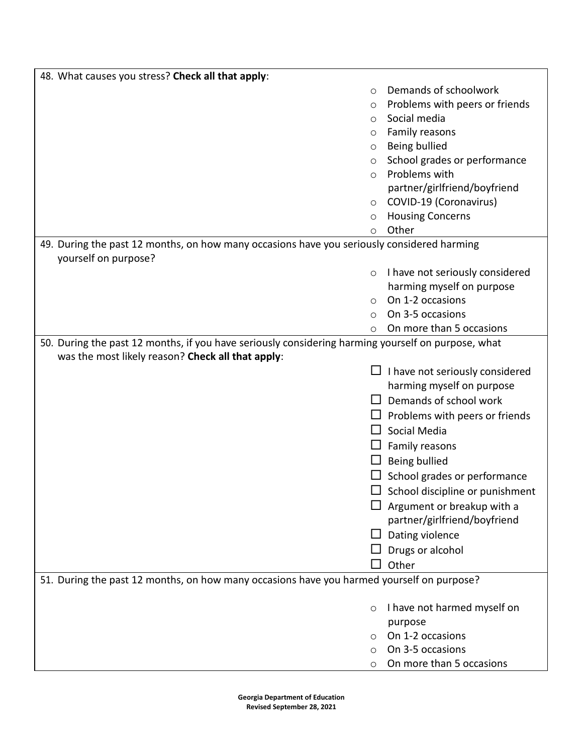| 48. What causes you stress? Check all that apply:                                                  |         |                                 |
|----------------------------------------------------------------------------------------------------|---------|---------------------------------|
|                                                                                                    | $\circ$ | Demands of schoolwork           |
|                                                                                                    | O       | Problems with peers or friends  |
|                                                                                                    | $\circ$ | Social media                    |
|                                                                                                    | O       | Family reasons                  |
|                                                                                                    | O       | Being bullied                   |
|                                                                                                    | O       | School grades or performance    |
|                                                                                                    | $\circ$ | Problems with                   |
|                                                                                                    |         | partner/girlfriend/boyfriend    |
|                                                                                                    | O       | COVID-19 (Coronavirus)          |
|                                                                                                    | $\circ$ | <b>Housing Concerns</b>         |
|                                                                                                    | O       | Other                           |
| 49. During the past 12 months, on how many occasions have you seriously considered harming         |         |                                 |
| yourself on purpose?                                                                               |         |                                 |
|                                                                                                    | $\circ$ | I have not seriously considered |
|                                                                                                    |         | harming myself on purpose       |
|                                                                                                    | $\circ$ | On 1-2 occasions                |
|                                                                                                    | O       | On 3-5 occasions                |
|                                                                                                    | O       | On more than 5 occasions        |
| 50. During the past 12 months, if you have seriously considering harming yourself on purpose, what |         |                                 |
| was the most likely reason? Check all that apply:                                                  |         |                                 |
|                                                                                                    |         | I have not seriously considered |
|                                                                                                    |         | harming myself on purpose       |
|                                                                                                    |         | Demands of school work          |
|                                                                                                    |         | Problems with peers or friends  |
|                                                                                                    |         | Social Media                    |
|                                                                                                    |         | Family reasons                  |
|                                                                                                    |         | Being bullied                   |
|                                                                                                    |         | School grades or performance    |
|                                                                                                    |         | School discipline or punishment |
|                                                                                                    |         | Argument or breakup with a      |
|                                                                                                    |         | partner/girlfriend/boyfriend    |
|                                                                                                    |         | Dating violence                 |
|                                                                                                    |         | Drugs or alcohol                |
|                                                                                                    |         | Other                           |
| 51. During the past 12 months, on how many occasions have you harmed yourself on purpose?          |         |                                 |
|                                                                                                    | O       | I have not harmed myself on     |
|                                                                                                    |         | purpose                         |
|                                                                                                    | O       | On 1-2 occasions                |
|                                                                                                    | O       | On 3-5 occasions                |
|                                                                                                    | O       | On more than 5 occasions        |

**Georgia Department of Education Revised September 28, 2021**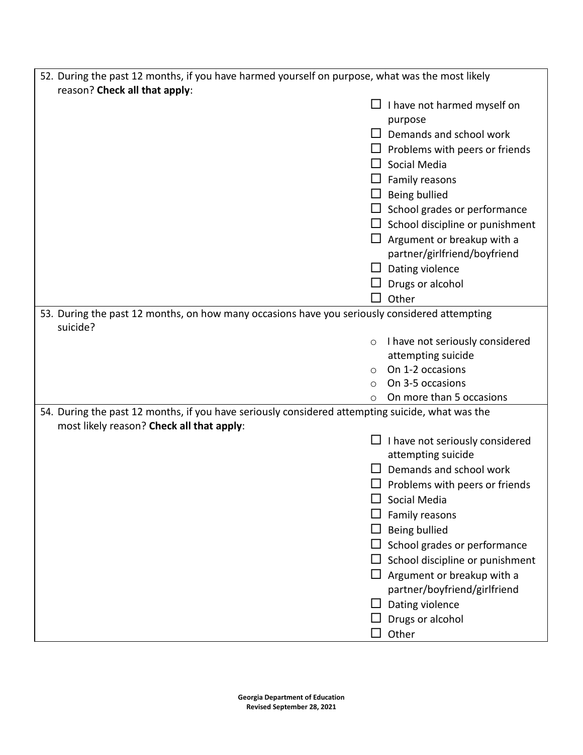| 52. During the past 12 months, if you have harmed yourself on purpose, what was the most likely                                               |                                            |  |
|-----------------------------------------------------------------------------------------------------------------------------------------------|--------------------------------------------|--|
| reason? Check all that apply:                                                                                                                 |                                            |  |
|                                                                                                                                               | I have not harmed myself on                |  |
|                                                                                                                                               | purpose                                    |  |
|                                                                                                                                               | Demands and school work<br>$\perp$         |  |
|                                                                                                                                               | Problems with peers or friends             |  |
|                                                                                                                                               | Social Media                               |  |
|                                                                                                                                               | Family reasons                             |  |
|                                                                                                                                               | Being bullied                              |  |
|                                                                                                                                               | School grades or performance               |  |
|                                                                                                                                               | School discipline or punishment            |  |
|                                                                                                                                               | Argument or breakup with a                 |  |
|                                                                                                                                               | partner/girlfriend/boyfriend               |  |
|                                                                                                                                               | Dating violence                            |  |
|                                                                                                                                               | Drugs or alcohol                           |  |
|                                                                                                                                               | Other                                      |  |
| 53. During the past 12 months, on how many occasions have you seriously considered attempting<br>suicide?                                     |                                            |  |
|                                                                                                                                               | I have not seriously considered<br>$\circ$ |  |
|                                                                                                                                               | attempting suicide                         |  |
|                                                                                                                                               | On 1-2 occasions<br>$\circ$                |  |
|                                                                                                                                               | On 3-5 occasions<br>$\circ$                |  |
|                                                                                                                                               | On more than 5 occasions<br>$\circ$        |  |
| 54. During the past 12 months, if you have seriously considered attempting suicide, what was the<br>most likely reason? Check all that apply: |                                            |  |
|                                                                                                                                               | I have not seriously considered            |  |
|                                                                                                                                               | attempting suicide                         |  |
|                                                                                                                                               | Demands and school work                    |  |
|                                                                                                                                               | Problems with peers or friends             |  |
|                                                                                                                                               | Social Media                               |  |
|                                                                                                                                               | Family reasons                             |  |
|                                                                                                                                               | Being bullied                              |  |
|                                                                                                                                               | School grades or performance               |  |
|                                                                                                                                               | School discipline or punishment            |  |
|                                                                                                                                               | $\Box$ Argument or breakup with a          |  |
|                                                                                                                                               | partner/boyfriend/girlfriend               |  |
|                                                                                                                                               | Dating violence                            |  |
|                                                                                                                                               | Drugs or alcohol                           |  |
|                                                                                                                                               | Other                                      |  |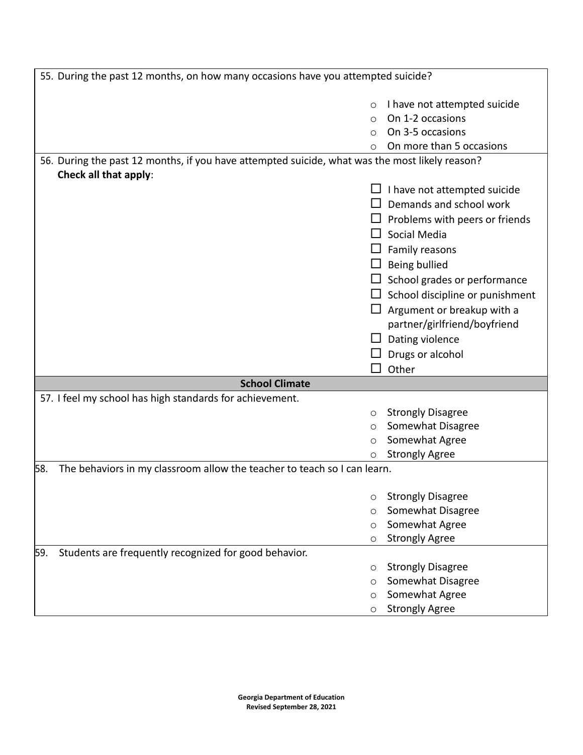| 55. During the past 12 months, on how many occasions have you attempted suicide?               |            |                                        |
|------------------------------------------------------------------------------------------------|------------|----------------------------------------|
|                                                                                                |            |                                        |
|                                                                                                | $\circ$    | I have not attempted suicide           |
|                                                                                                | $\bigcirc$ | On 1-2 occasions                       |
|                                                                                                |            | On 3-5 occasions                       |
|                                                                                                | O          | On more than 5 occasions               |
| 56. During the past 12 months, if you have attempted suicide, what was the most likely reason? |            |                                        |
| Check all that apply:                                                                          |            |                                        |
|                                                                                                |            | I have not attempted suicide           |
|                                                                                                |            | Demands and school work                |
|                                                                                                |            | $\Box$ Problems with peers or friends  |
|                                                                                                |            | Social Media                           |
|                                                                                                |            | $\Box$ Family reasons                  |
|                                                                                                |            | Being bullied                          |
|                                                                                                |            | School grades or performance           |
|                                                                                                |            | $\Box$ School discipline or punishment |
|                                                                                                |            |                                        |
|                                                                                                |            | $\Box$ Argument or breakup with a      |
|                                                                                                |            | partner/girlfriend/boyfriend           |
|                                                                                                |            | $\Box$ Dating violence                 |
|                                                                                                |            | Drugs or alcohol                       |
|                                                                                                |            | Other                                  |
| <b>School Climate</b>                                                                          |            |                                        |
| 57. I feel my school has high standards for achievement.                                       |            |                                        |
|                                                                                                | $\circ$    | <b>Strongly Disagree</b>               |
|                                                                                                | $\circ$    | Somewhat Disagree                      |
|                                                                                                | $\circ$    | Somewhat Agree                         |
|                                                                                                |            | <b>Strongly Agree</b>                  |
| The behaviors in my classroom allow the teacher to teach so I can learn.<br>58.                |            |                                        |
|                                                                                                |            |                                        |
|                                                                                                | O          | <b>Strongly Disagree</b>               |
|                                                                                                | $\circ$    | Somewhat Disagree                      |
|                                                                                                | $\circ$    | Somewhat Agree                         |
|                                                                                                | O          | <b>Strongly Agree</b>                  |
| Students are frequently recognized for good behavior.<br>59.                                   |            |                                        |
|                                                                                                | $\circ$    | <b>Strongly Disagree</b>               |
|                                                                                                | $\circ$    | Somewhat Disagree                      |
|                                                                                                | $\circ$    | Somewhat Agree                         |
|                                                                                                | O          | <b>Strongly Agree</b>                  |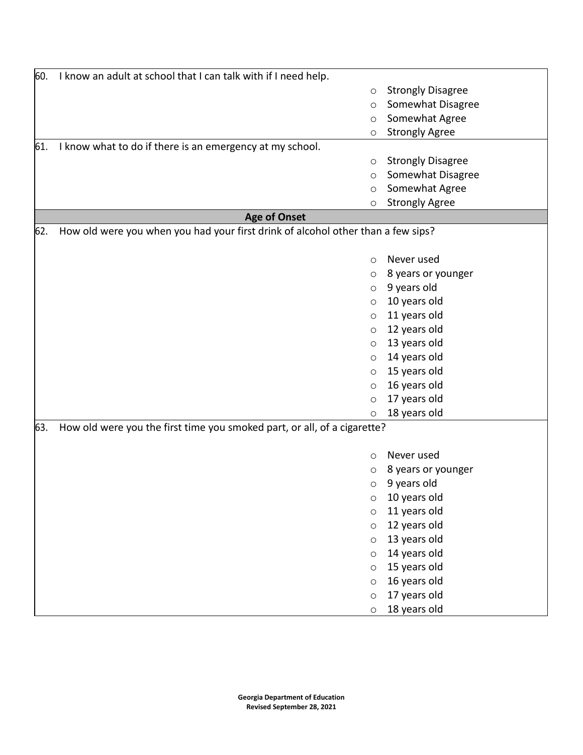| 60. | I know an adult at school that I can talk with if I need help.                   |                          |
|-----|----------------------------------------------------------------------------------|--------------------------|
|     | $\circ$                                                                          | <b>Strongly Disagree</b> |
|     | $\circ$                                                                          | Somewhat Disagree        |
|     | $\circ$                                                                          | Somewhat Agree           |
|     | O                                                                                | <b>Strongly Agree</b>    |
| 61. | I know what to do if there is an emergency at my school.                         |                          |
|     | O                                                                                | <b>Strongly Disagree</b> |
|     | $\circ$                                                                          | Somewhat Disagree        |
|     | O                                                                                | Somewhat Agree           |
|     | O                                                                                | <b>Strongly Agree</b>    |
|     | <b>Age of Onset</b>                                                              |                          |
| 62. | How old were you when you had your first drink of alcohol other than a few sips? |                          |
|     |                                                                                  |                          |
|     | $\circ$                                                                          | Never used               |
|     | O                                                                                | 8 years or younger       |
|     | $\circ$                                                                          | 9 years old              |
|     | $\circ$                                                                          | 10 years old             |
|     | $\circ$                                                                          | 11 years old             |
|     | O                                                                                | 12 years old             |
|     | $\circ$                                                                          | 13 years old             |
|     | O                                                                                | 14 years old             |
|     | $\circ$                                                                          | 15 years old             |
|     | $\circ$                                                                          | 16 years old             |
|     | $\circ$                                                                          | 17 years old             |
|     | $\circ$                                                                          | 18 years old             |
| 63. | How old were you the first time you smoked part, or all, of a cigarette?         |                          |
|     |                                                                                  |                          |
|     | $\circ$                                                                          | Never used               |
|     | O                                                                                | 8 years or younger       |
|     | $\circ$                                                                          | 9 years old              |
|     | $\circ$                                                                          | 10 years old             |
|     | $\circ$                                                                          | 11 years old             |
|     | $\circ$                                                                          | 12 years old             |
|     | $\circ$                                                                          | 13 years old             |
|     | $\circ$                                                                          | 14 years old             |
|     | $\circ$                                                                          | 15 years old             |
|     | $\circ$                                                                          | 16 years old             |
|     | $\circ$                                                                          | 17 years old             |
|     | O                                                                                | 18 years old             |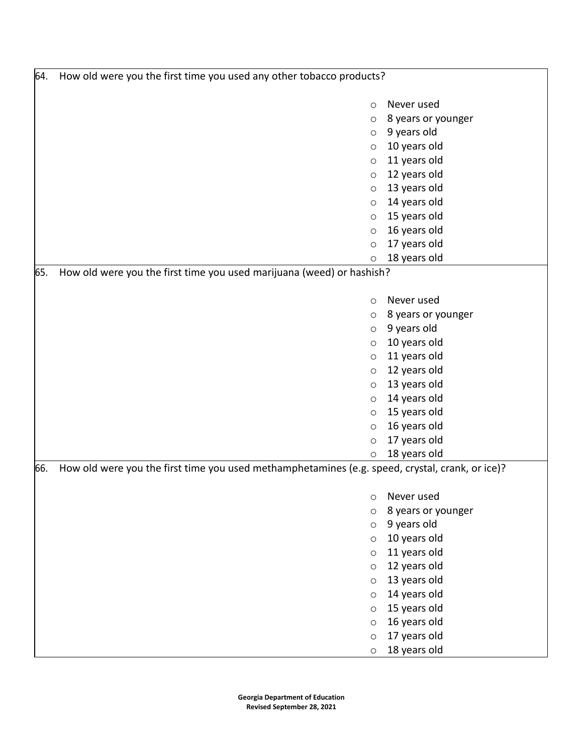| 64. | How old were you the first time you used any other tobacco products?                            |                    |  |
|-----|-------------------------------------------------------------------------------------------------|--------------------|--|
|     | $\circ$                                                                                         | Never used         |  |
|     | O                                                                                               | 8 years or younger |  |
|     | O                                                                                               | 9 years old        |  |
|     | $\circ$                                                                                         | 10 years old       |  |
|     | $\circ$                                                                                         | 11 years old       |  |
|     | $\circ$                                                                                         | 12 years old       |  |
|     | $\circ$                                                                                         | 13 years old       |  |
|     | $\circ$                                                                                         | 14 years old       |  |
|     | $\circ$                                                                                         | 15 years old       |  |
|     | $\circ$                                                                                         | 16 years old       |  |
|     | $\circ$                                                                                         | 17 years old       |  |
|     | O                                                                                               | 18 years old       |  |
| 65. | How old were you the first time you used marijuana (weed) or hashish?                           |                    |  |
|     | $\circ$                                                                                         | Never used         |  |
|     | O                                                                                               | 8 years or younger |  |
|     | O                                                                                               | 9 years old        |  |
|     | $\circ$                                                                                         | 10 years old       |  |
|     | $\circ$                                                                                         | 11 years old       |  |
|     | $\circ$                                                                                         | 12 years old       |  |
|     | $\circ$                                                                                         | 13 years old       |  |
|     | $\circ$                                                                                         | 14 years old       |  |
|     | $\circ$                                                                                         | 15 years old       |  |
|     | $\circ$                                                                                         | 16 years old       |  |
|     | $\circ$                                                                                         | 17 years old       |  |
|     | O                                                                                               | 18 years old       |  |
| 66. | How old were you the first time you used methamphetamines (e.g. speed, crystal, crank, or ice)? |                    |  |
|     | $\circ$                                                                                         | Never used         |  |
|     | $\circ$                                                                                         | 8 years or younger |  |
|     | $\circ$                                                                                         | 9 years old        |  |
|     | $\circ$                                                                                         | 10 years old       |  |
|     | $\circ$                                                                                         | 11 years old       |  |
|     | $\circ$                                                                                         | 12 years old       |  |
|     | $\circ$                                                                                         | 13 years old       |  |
|     | $\circ$                                                                                         | 14 years old       |  |
|     | $\circ$                                                                                         | 15 years old       |  |
|     | $\circ$                                                                                         | 16 years old       |  |
|     | $\circ$                                                                                         | 17 years old       |  |
|     | $\circ$                                                                                         | 18 years old       |  |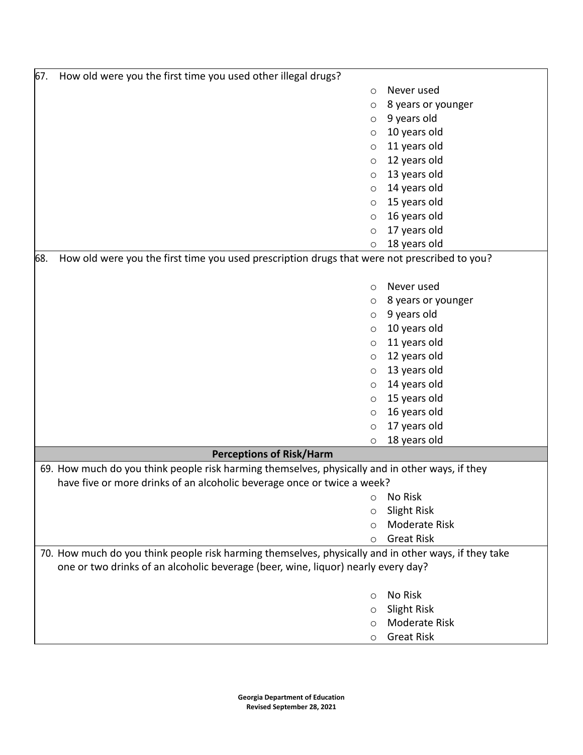| 67. | How old were you the first time you used other illegal drugs?                                        |                              |  |
|-----|------------------------------------------------------------------------------------------------------|------------------------------|--|
|     | $\circ$                                                                                              | Never used                   |  |
|     | O                                                                                                    | 8 years or younger           |  |
|     | $\circ$                                                                                              | 9 years old                  |  |
|     | $\circ$                                                                                              | 10 years old                 |  |
|     | $\circ$                                                                                              | 11 years old                 |  |
|     | $\circ$                                                                                              | 12 years old                 |  |
|     | $\circ$                                                                                              | 13 years old                 |  |
|     | $\circ$                                                                                              | 14 years old                 |  |
|     | $\circ$                                                                                              | 15 years old                 |  |
|     | $\circ$                                                                                              | 16 years old                 |  |
|     | $\circ$                                                                                              | 17 years old                 |  |
|     | $\circ$                                                                                              | 18 years old                 |  |
| 68. | How old were you the first time you used prescription drugs that were not prescribed to you?         |                              |  |
|     |                                                                                                      |                              |  |
|     | $\circ$                                                                                              | Never used                   |  |
|     | $\circ$                                                                                              | 8 years or younger           |  |
|     | $\circ$                                                                                              | 9 years old                  |  |
|     | $\circ$                                                                                              | 10 years old                 |  |
|     | $\circ$                                                                                              | 11 years old                 |  |
|     | $\circ$                                                                                              | 12 years old                 |  |
|     | $\circ$                                                                                              | 13 years old                 |  |
|     | $\circ$                                                                                              | 14 years old                 |  |
|     | $\circ$                                                                                              | 15 years old                 |  |
|     | $\circ$                                                                                              | 16 years old                 |  |
|     | $\circ$                                                                                              | 17 years old<br>18 years old |  |
|     | O<br><b>Perceptions of Risk/Harm</b>                                                                 |                              |  |
|     | 69. How much do you think people risk harming themselves, physically and in other ways, if they      |                              |  |
|     | have five or more drinks of an alcoholic beverage once or twice a week?                              |                              |  |
|     | O                                                                                                    | No Risk                      |  |
|     | $\circ$                                                                                              | Slight Risk                  |  |
|     | $\bigcirc$                                                                                           | <b>Moderate Risk</b>         |  |
|     | $\circ$                                                                                              | <b>Great Risk</b>            |  |
|     | 70. How much do you think people risk harming themselves, physically and in other ways, if they take |                              |  |
|     | one or two drinks of an alcoholic beverage (beer, wine, liquor) nearly every day?                    |                              |  |
|     |                                                                                                      |                              |  |
|     | $\circ$                                                                                              | No Risk                      |  |
|     | $\circ$                                                                                              | <b>Slight Risk</b>           |  |
|     | $\bigcirc$                                                                                           | <b>Moderate Risk</b>         |  |
|     | $\circ$                                                                                              | <b>Great Risk</b>            |  |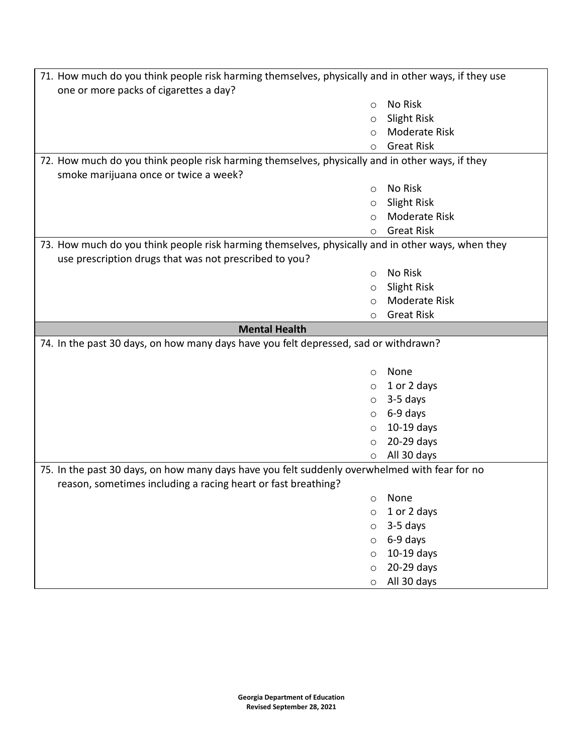| 71. How much do you think people risk harming themselves, physically and in other ways, if they use |         |                      |  |
|-----------------------------------------------------------------------------------------------------|---------|----------------------|--|
| one or more packs of cigarettes a day?                                                              |         |                      |  |
|                                                                                                     | $\circ$ | No Risk              |  |
|                                                                                                     | $\circ$ | Slight Risk          |  |
|                                                                                                     | O       | <b>Moderate Risk</b> |  |
|                                                                                                     | $\circ$ | <b>Great Risk</b>    |  |
| 72. How much do you think people risk harming themselves, physically and in other ways, if they     |         |                      |  |
| smoke marijuana once or twice a week?                                                               |         |                      |  |
|                                                                                                     | $\circ$ | No Risk              |  |
|                                                                                                     | $\circ$ | Slight Risk          |  |
|                                                                                                     | $\circ$ | <b>Moderate Risk</b> |  |
|                                                                                                     | $\circ$ | <b>Great Risk</b>    |  |
| 73. How much do you think people risk harming themselves, physically and in other ways, when they   |         |                      |  |
| use prescription drugs that was not prescribed to you?                                              |         |                      |  |
|                                                                                                     | $\circ$ | No Risk              |  |
|                                                                                                     | O       | Slight Risk          |  |
|                                                                                                     | $\circ$ | <b>Moderate Risk</b> |  |
|                                                                                                     | O       | <b>Great Risk</b>    |  |
| <b>Mental Health</b>                                                                                |         |                      |  |
| 74. In the past 30 days, on how many days have you felt depressed, sad or withdrawn?                |         |                      |  |
|                                                                                                     |         |                      |  |
|                                                                                                     | $\circ$ | None                 |  |
|                                                                                                     | $\circ$ | 1 or 2 days          |  |
|                                                                                                     | $\circ$ | 3-5 days             |  |
|                                                                                                     | $\circ$ | 6-9 days             |  |
|                                                                                                     | $\circ$ | $10-19$ days         |  |
|                                                                                                     | $\circ$ | 20-29 days           |  |
|                                                                                                     | O       | All 30 days          |  |
| 75. In the past 30 days, on how many days have you felt suddenly overwhelmed with fear for no       |         |                      |  |
| reason, sometimes including a racing heart or fast breathing?                                       |         |                      |  |
|                                                                                                     | $\circ$ | None                 |  |
|                                                                                                     | $\circ$ | 1 or 2 days          |  |
|                                                                                                     | $\circ$ | 3-5 days             |  |
|                                                                                                     | $\circ$ | 6-9 days             |  |
|                                                                                                     | $\circ$ | 10-19 days           |  |
|                                                                                                     | $\circ$ | 20-29 days           |  |
|                                                                                                     | $\circ$ | All 30 days          |  |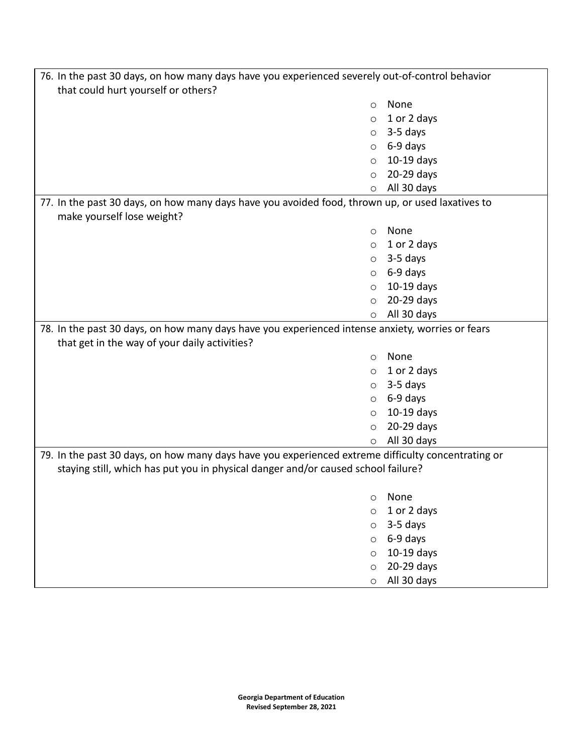| 76. In the past 30 days, on how many days have you experienced severely out-of-control behavior    |         |              |
|----------------------------------------------------------------------------------------------------|---------|--------------|
| that could hurt yourself or others?                                                                |         |              |
|                                                                                                    | $\circ$ | None         |
|                                                                                                    | $\circ$ | 1 or 2 days  |
|                                                                                                    | $\circ$ | 3-5 days     |
|                                                                                                    | $\circ$ | 6-9 days     |
|                                                                                                    | $\circ$ | $10-19$ days |
|                                                                                                    | $\circ$ | 20-29 days   |
|                                                                                                    | $\circ$ | All 30 days  |
| 77. In the past 30 days, on how many days have you avoided food, thrown up, or used laxatives to   |         |              |
| make yourself lose weight?                                                                         |         |              |
|                                                                                                    | $\circ$ | None         |
|                                                                                                    | $\circ$ | 1 or 2 days  |
|                                                                                                    | $\circ$ | 3-5 days     |
|                                                                                                    | $\circ$ | 6-9 days     |
|                                                                                                    | $\circ$ | $10-19$ days |
|                                                                                                    | $\circ$ | 20-29 days   |
|                                                                                                    | $\circ$ | All 30 days  |
| 78. In the past 30 days, on how many days have you experienced intense anxiety, worries or fears   |         |              |
| that get in the way of your daily activities?                                                      |         |              |
|                                                                                                    | $\circ$ | None         |
|                                                                                                    | $\circ$ | 1 or 2 days  |
|                                                                                                    | $\circ$ | 3-5 days     |
|                                                                                                    | $\circ$ | 6-9 days     |
| $\circ$                                                                                            |         | $10-19$ days |
| $\circ$                                                                                            |         | 20-29 days   |
|                                                                                                    | $\circ$ | All 30 days  |
| 79. In the past 30 days, on how many days have you experienced extreme difficulty concentrating or |         |              |
| staying still, which has put you in physical danger and/or caused school failure?                  |         |              |
|                                                                                                    |         |              |
|                                                                                                    | $\circ$ | None         |
| $\circ$                                                                                            |         | 1 or 2 days  |
| $\circ$                                                                                            |         | 3-5 days     |
| $\circ$                                                                                            |         | 6-9 days     |
| $\circ$                                                                                            |         | 10-19 days   |
| $\circ$                                                                                            |         | 20-29 days   |
| $\circ$                                                                                            |         | All 30 days  |